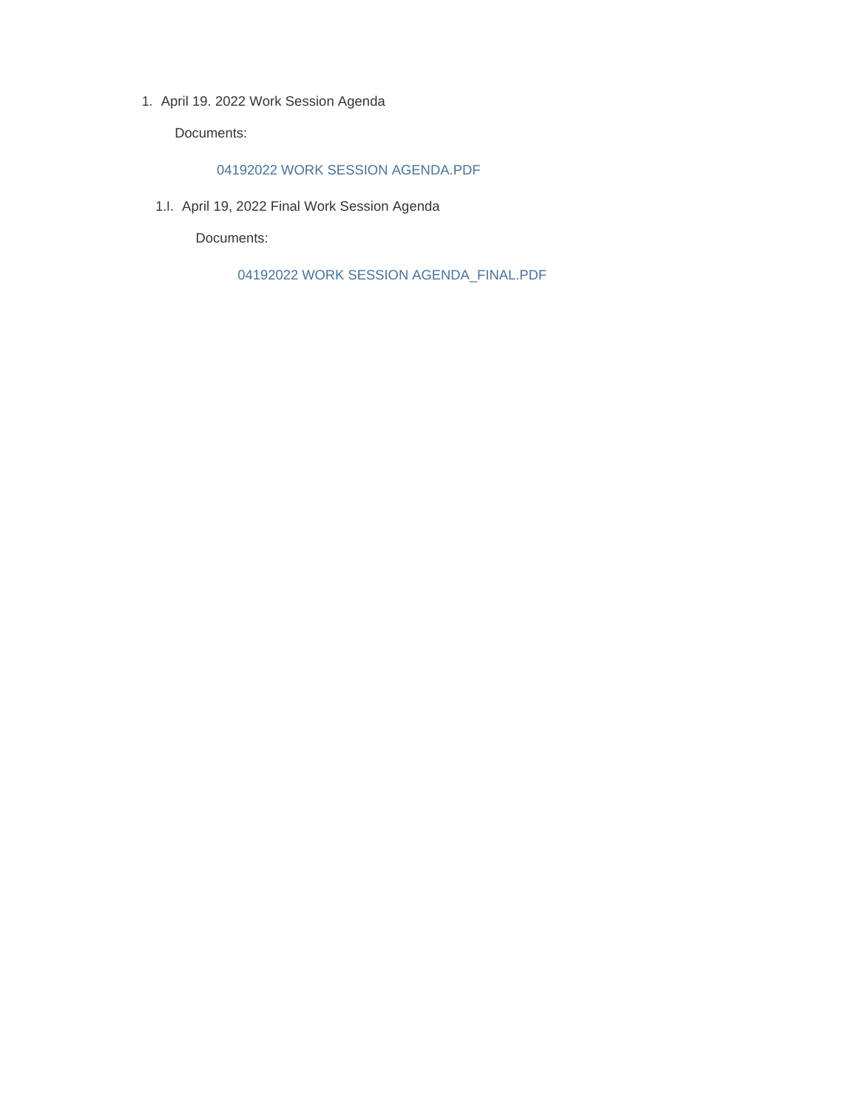1. April 19. 2022 Work Session Agenda

Documents:

#### 04192022 WORK SESSION AGENDA.PDF

1.I. April 19, 2022 Final Work Session Agenda

Documents:

04192022 WORK SESSION AGENDA\_FINAL.PDF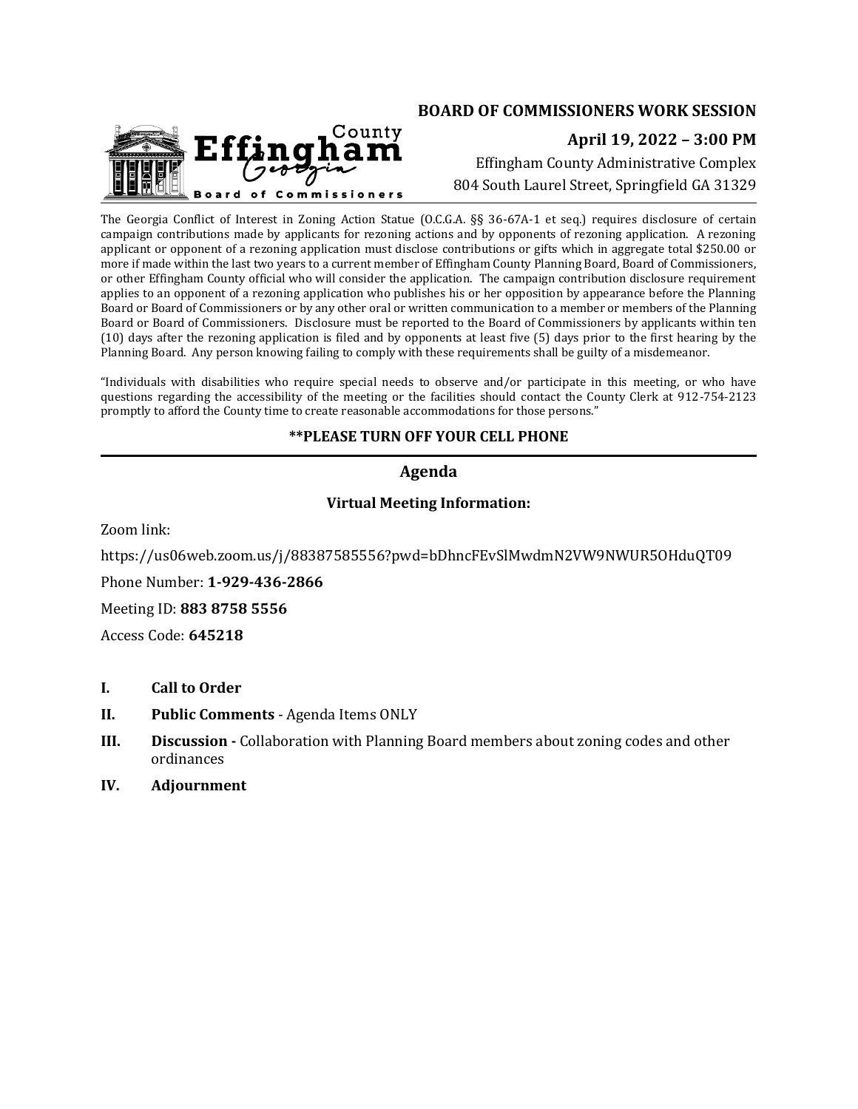# **BOARD OF COMMISSIONERS WORK SESSION**



Effingham County Administrative Complex 804 South Laurel Street, Springfield GA 31329

The Georgia Conflict of Interest in Zoning Action Statue (O.C.G.A. §§ 36-67A-1 et seq.) requires disclosure of certain campaign contributions made by applicants for rezoning actions and by opponents of rezoning application. A rezoning applicant or opponent of a rezoning application must disclose contributions or gifts which in aggregate total \$250.00 or more if made within the last two years to a current member of Effingham County Planning Board, Board of Commissioners, or other Effingham County official who will consider the application. The campaign contribution disclosure requirement applies to an opponent of a rezoning application who publishes his or her opposition by appearance before the Planning Board or Board of Commissioners or by any other oral or written communication to a member or members of the Planning Board or Board of Commissioners. Disclosure must be reported to the Board of Commissioners by applicants within ten (10) days after the rezoning application is filed and by opponents at least five (5) days prior to the first hearing by the Planning Board. Any person knowing failing to comply with these requirements shall be guilty of a misdemeanor.

"Individuals with disabilities who require special needs to observe and/or participate in this meeting, or who have questions regarding the accessibility of the meeting or the facilities should contact the County Clerk at 912-754-2123 promptly to afford the County time to create reasonable accommodations for those persons."

#### **\*\*PLEASE TURN OFF YOUR CELL PHONE**

## **Agenda**

#### **Virtual Meeting Information:**

Zoom link:

https://us06web.zoom.us/j/88387585556?pwd=bDhncFEvSlMwdmN2VW9NWUR5OHduQT09

Phone Number: **1-929-436-2866**

Meeting ID: **883 8758 5556**

Access Code: **645218**

- **I. Call to Order**
- **II. Public Comments** Agenda Items ONLY
- **III. Discussion -** Collaboration with Planning Board members about zoning codes and other ordinances
- **IV. Adjournment**